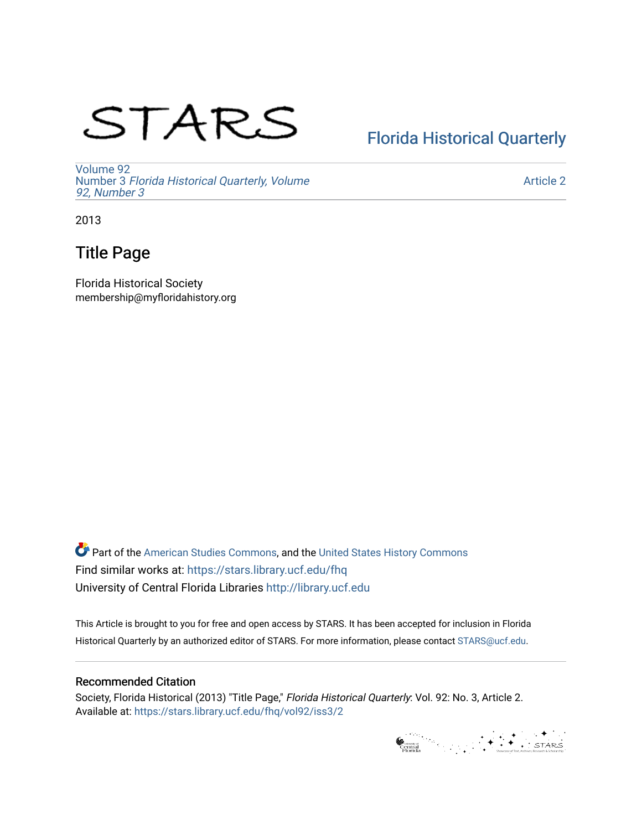# STARS

# [Florida Historical Quarterly](https://stars.library.ucf.edu/fhq)

[Volume 92](https://stars.library.ucf.edu/fhq/vol92) Number 3 [Florida Historical Quarterly, Volume](https://stars.library.ucf.edu/fhq/vol92/iss3)  [92, Number 3](https://stars.library.ucf.edu/fhq/vol92/iss3)

[Article 2](https://stars.library.ucf.edu/fhq/vol92/iss3/2) 

2013

## Title Page

Florida Historical Society membership@myfloridahistory.org

**C** Part of the [American Studies Commons](http://network.bepress.com/hgg/discipline/439?utm_source=stars.library.ucf.edu%2Ffhq%2Fvol92%2Fiss3%2F2&utm_medium=PDF&utm_campaign=PDFCoverPages), and the United States History Commons Find similar works at: <https://stars.library.ucf.edu/fhq> University of Central Florida Libraries [http://library.ucf.edu](http://library.ucf.edu/) 

This Article is brought to you for free and open access by STARS. It has been accepted for inclusion in Florida Historical Quarterly by an authorized editor of STARS. For more information, please contact [STARS@ucf.edu.](mailto:STARS@ucf.edu)

#### Recommended Citation

Society, Florida Historical (2013) "Title Page," Florida Historical Quarterly: Vol. 92: No. 3, Article 2. Available at: [https://stars.library.ucf.edu/fhq/vol92/iss3/2](https://stars.library.ucf.edu/fhq/vol92/iss3/2?utm_source=stars.library.ucf.edu%2Ffhq%2Fvol92%2Fiss3%2F2&utm_medium=PDF&utm_campaign=PDFCoverPages) 

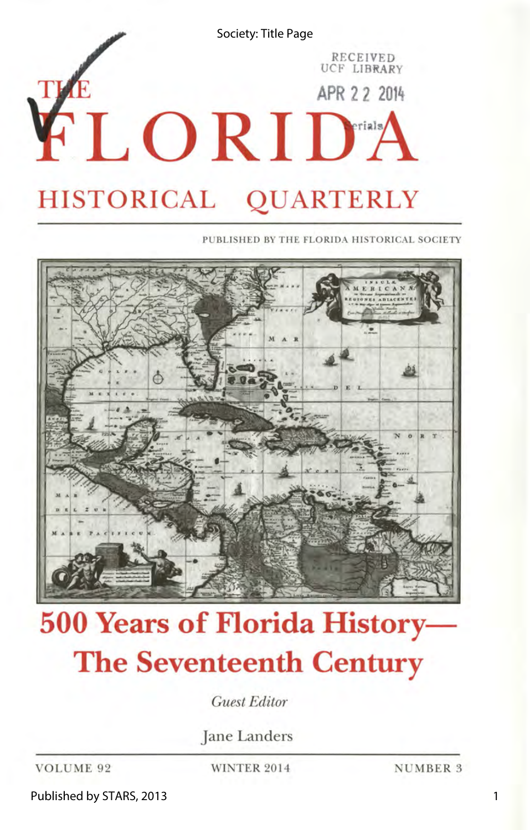

PUBLISHED BY THE FLORIDA HISTORICAL SOCIETY



# **500 Years of Florida History-The Seventeenth Century**

*Guest Editor* 

Jane Landers

VOLUME 92 WINTER 2014 NUMBER 3

Published by STARS, 2013

1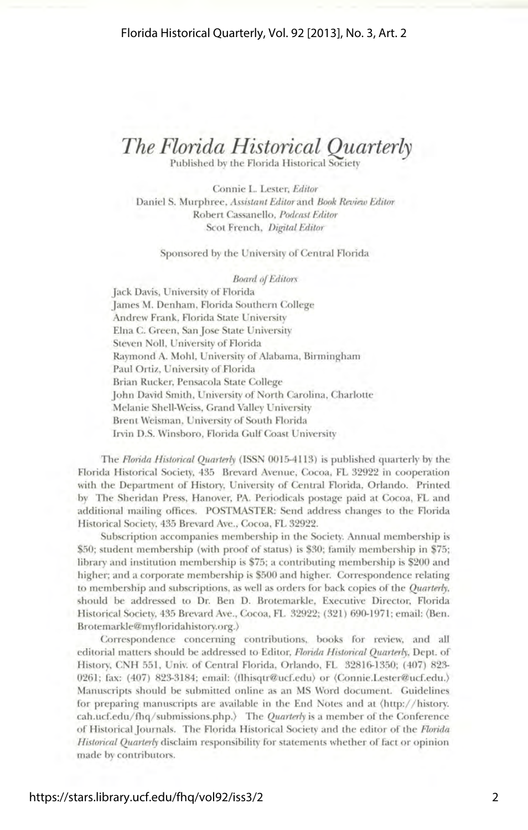## *The Florida Historical Quarterly*

Published by the Florida Historical Society

Connie L. Lester, *Editor*  Daniel S. Murphree, *Assistant Editor* and *Book Review Editor*  Robert Cassanello, *Podcast Editor*  Scot French, *Digital Editor* 

#### Sponsored by the University of Central Florida

*Board of Editors* 

Jack Davis, University of Florida James M. Denham, Florida Southern College Andrew Frank, Florida State University Elna C. Green, Sanjose State University Steven Noll, University of Florida Raymond A. Mohl, University of Alabama, Birmingham Paul Ortiz, University of Florida Brian Rucker, Pensacola State College John David Smith, University of North Carolina, Charlotte Melanie Shell-Weiss, Grand Valley University Brent Weisman, University of South Florida Irvin D.S. Winsboro, Florida Gulf Coast University

The *Florida Historical Quarterly* (ISSN 0015-4113) is published quarterly by the Florida Historical Society, 435 Brevard Avenue, Cocoa, FL 32922 in cooperation with the Department of History, University of Central Florida, Orlando. Printed by The Sheridan Press, Hanover, PA. Periodicals postage paid at Cocoa, FL and additional mailing offices. POSTMASTER: Send address changes to the Florida Historical Society, 435 Brevard Ave., Cocoa, FL 32922.

Subscription accompanies membership in the Society. Annual membership is \$50; student membership (with proof of status) is \$30; family membership in \$75; library and institution membership is 75; a contributing membership is \$200 and higher; and a corporate membership is \$500 and higher. Correspondence relating to membership and subscriptions, as well as orders for back copies of the *Quarterly,*  should be addressed to Dr. Ben D. Brotemarkle, Executive Director, Florida Historical Society, 435 Brevard Ave., Cocoa, FL 32922; (321) 690-1971; email: (Ben. Brotemarkle@myfloridahistory.org.)

Correspondence concerning contributions, books for review, and all editorial matters should be addressed to Editor, *Florida Historical Quarterly,* Dept. of History, CNH 551, Univ. of Central Florida, Orlando, FL 32816-1350; (407) 823-0261; fax: (407) 823-3184; email: (flhisqtr@ucf.edu) or (Connie.Lester@ucf.edu.) Manuscripts should be submitted online as an MS Word document. Guidelines for preparing manuscripts are available in the End Notes and at (http:/ / history. cah.ucf.edu/ fhq/ submissions.php.) The *Quarterly* is a member of the Conference of Historical Journals. The Florida Historical Society and the editor of the *Florida Historical Quarterly* disclaim responsibility for statements whether of fact or opinion made by contributors.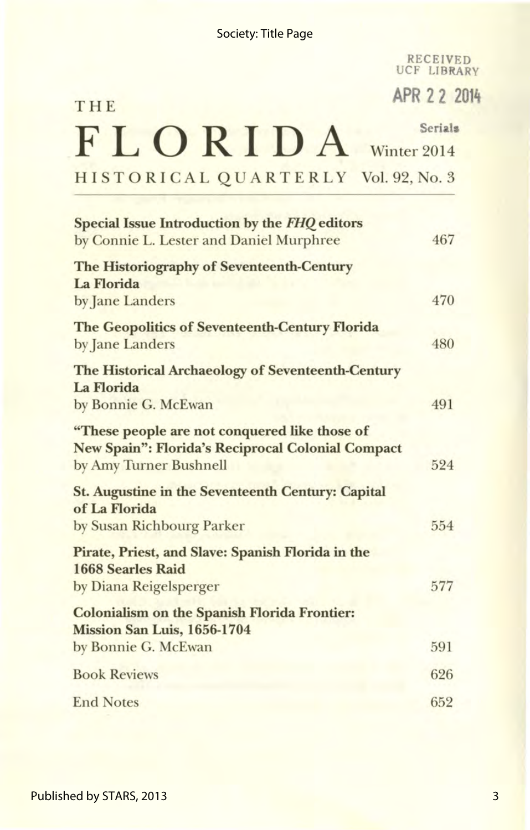#### Society: Title Page

RECEIVED UCF LIBRARY

**APR 2 2 2014** 

# THE FLORIDA Winter 2014 HISTORICAL QUARTERLY Vol. 92, No. 3

| Special Issue Introduction by the FHQ editors<br>by Connie L. Lester and Daniel Murphree                                     | 467 |
|------------------------------------------------------------------------------------------------------------------------------|-----|
| The Historiography of Seventeenth-Century<br>La Florida<br>by Jane Landers                                                   | 470 |
| <b>The Geopolitics of Seventeenth-Century Florida</b><br>by Jane Landers                                                     | 480 |
| The Historical Archaeology of Seventeenth-Century<br>La Florida<br>by Bonnie G. McEwan                                       | 491 |
| "These people are not conquered like those of<br>New Spain": Florida's Reciprocal Colonial Compact<br>by Amy Turner Bushnell | 524 |
| <b>St. Augustine in the Seventeenth Century: Capital</b><br>of La Florida<br>by Susan Richbourg Parker                       | 554 |
| Pirate, Priest, and Slave: Spanish Florida in the<br><b>1668 Searles Raid</b><br>by Diana Reigelsperger                      | 577 |
| <b>Colonialism on the Spanish Florida Frontier:</b><br>Mission San Luis, 1656-1704<br>by Bonnie G. McEwan                    | 591 |
| <b>Book Reviews</b>                                                                                                          | 626 |
| <b>End Notes</b>                                                                                                             | 652 |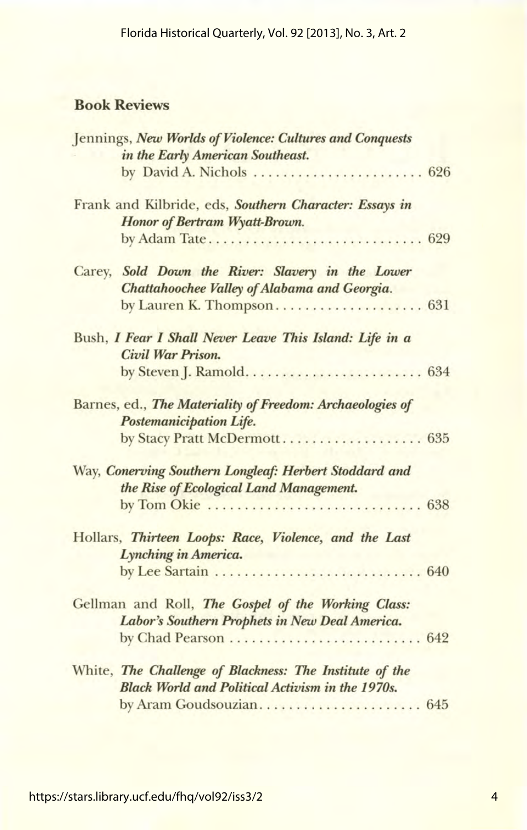### Book Reviews

| Jennings, New Worlds of Violence: Cultures and Conquests  |  |
|-----------------------------------------------------------|--|
| in the Early American Southeast.                          |  |
| by David A. Nichols  626                                  |  |
| Frank and Kilbride, eds, Southern Character: Essays in    |  |
| Honor of Bertram Wyatt-Brown.                             |  |
| by Adam Tate 629                                          |  |
| Carey, Sold Down the River: Slavery in the Lower          |  |
| Chattahoochee Valley of Alabama and Georgia.              |  |
|                                                           |  |
| Bush, I Fear I Shall Never Leave This Island: Life in a   |  |
| Civil War Prison.                                         |  |
|                                                           |  |
| Barnes, ed., The Materiality of Freedom: Archaeologies of |  |
| Postemanicipation Life.                                   |  |
| by Stacy Pratt McDermott 635                              |  |
| Way, Conerving Southern Longleaf: Herbert Stoddard and    |  |
| the Rise of Ecological Land Management.                   |  |
|                                                           |  |
| Hollars, Thirteen Loops: Race, Violence, and the Last     |  |
| Lynching in America.                                      |  |
|                                                           |  |
| Gellman and Roll, The Gospel of the Working Class:        |  |
| Labor's Southern Prophets in New Deal America.            |  |
| by Chad Pearson  642                                      |  |
| White, The Challenge of Blackness: The Institute of the   |  |
| <b>Black World and Political Activism in the 1970s.</b>   |  |
| by Aram Goudsouzian 645                                   |  |